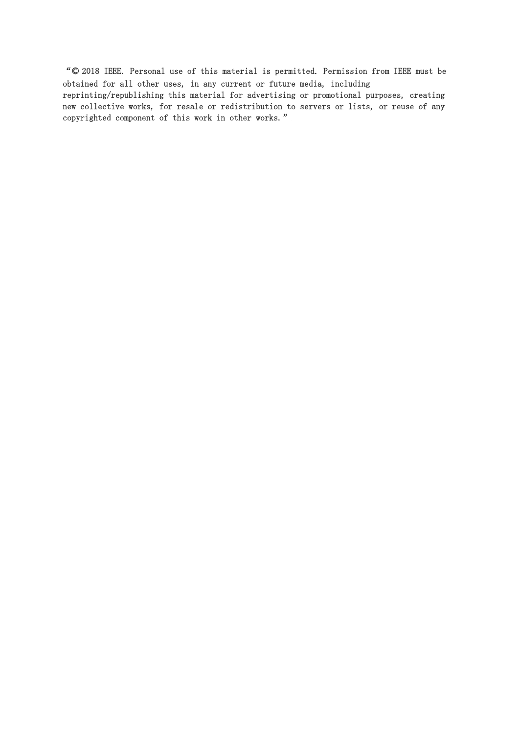"© 2018 IEEE. Personal use of this material is permitted. Permission from IEEE must be obtained for all other uses, in any current or future media, including reprinting/republishing this material for advertising or promotional purposes, creating new collective works, for resale or redistribution to servers or lists, or reuse of any copyrighted component of this work in other works."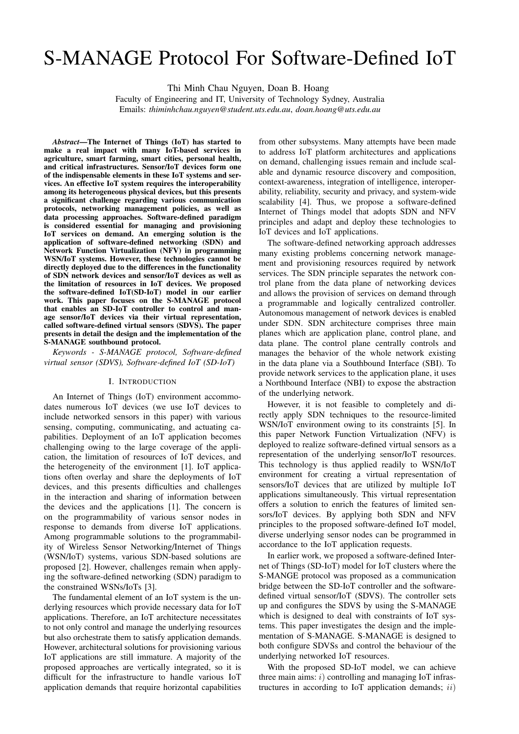# S-MANAGE Protocol For Software-Defined IoT

Thi Minh Chau Nguyen, Doan B. Hoang

Faculty of Engineering and IT, University of Technology Sydney, Australia Emails: *thiminhchau.nguyen@student.uts.edu.au*, *doan.hoang@uts.edu.au*

*Abstract*—The Internet of Things (IoT) has started to make a real impact with many IoT-based services in agriculture, smart farming, smart cities, personal health, and critical infrastructures. Sensor/IoT devices form one of the indispensable elements in these IoT systems and services. An effective IoT system requires the interoperability among its heterogeneous physical devices, but this presents a significant challenge regarding various communication protocols, networking management policies, as well as data processing approaches. Software-defined paradigm is considered essential for managing and provisioning IoT services on demand. An emerging solution is the application of software-defined networking (SDN) and Network Function Virtualization (NFV) in programming WSN/IoT systems. However, these technologies cannot be directly deployed due to the differences in the functionality of SDN network devices and sensor/IoT devices as well as the limitation of resources in IoT devices. We proposed the software-defined IoT(SD-IoT) model in our earlier work. This paper focuses on the S-MANAGE protocol that enables an SD-IoT controller to control and manage sensor/IoT devices via their virtual representation, called software-defined virtual sensors (SDVS). The paper presents in detail the design and the implementation of the S-MANAGE southbound protocol.

*Keywords - S-MANAGE protocol, Software-defined virtual sensor (SDVS), Software-defined IoT (SD-IoT)*

## I. INTRODUCTION

An Internet of Things (IoT) environment accommodates numerous IoT devices (we use IoT devices to include networked sensors in this paper) with various sensing, computing, communicating, and actuating capabilities. Deployment of an IoT application becomes challenging owing to the large coverage of the application, the limitation of resources of IoT devices, and the heterogeneity of the environment [1]. IoT applications often overlay and share the deployments of IoT devices, and this presents difficulties and challenges in the interaction and sharing of information between the devices and the applications [1]. The concern is on the programmability of various sensor nodes in response to demands from diverse IoT applications. Among programmable solutions to the programmability of Wireless Sensor Networking/Internet of Things (WSN/IoT) systems, various SDN-based solutions are proposed [2]. However, challenges remain when applying the software-defined networking (SDN) paradigm to the constrained WSNs/IoTs [3].

The fundamental element of an IoT system is the underlying resources which provide necessary data for IoT applications. Therefore, an IoT architecture necessitates to not only control and manage the underlying resources but also orchestrate them to satisfy application demands. However, architectural solutions for provisioning various IoT applications are still immature. A majority of the proposed approaches are vertically integrated, so it is difficult for the infrastructure to handle various IoT application demands that require horizontal capabilities

from other subsystems. Many attempts have been made to address IoT platform architectures and applications on demand, challenging issues remain and include scalable and dynamic resource discovery and composition, context-awareness, integration of intelligence, interoperability, reliability, security and privacy, and system-wide scalability [4]. Thus, we propose a software-defined Internet of Things model that adopts SDN and NFV principles and adapt and deploy these technologies to IoT devices and IoT applications.

The software-defined networking approach addresses many existing problems concerning network management and provisioning resources required by network services. The SDN principle separates the network control plane from the data plane of networking devices and allows the provision of services on demand through a programmable and logically centralized controller. Autonomous management of network devices is enabled under SDN. SDN architecture comprises three main planes which are application plane, control plane, and data plane. The control plane centrally controls and manages the behavior of the whole network existing in the data plane via a Southbound Interface (SBI). To provide network services to the application plane, it uses a Northbound Interface (NBI) to expose the abstraction of the underlying network.

However, it is not feasible to completely and directly apply SDN techniques to the resource-limited WSN/IoT environment owing to its constraints [5]. In this paper Network Function Virtualization (NFV) is deployed to realize software-defined virtual sensors as a representation of the underlying sensor/IoT resources. This technology is thus applied readily to WSN/IoT environment for creating a virtual representation of sensors/IoT devices that are utilized by multiple IoT applications simultaneously. This virtual representation offers a solution to enrich the features of limited sensors/IoT devices. By applying both SDN and NFV principles to the proposed software-defined IoT model, diverse underlying sensor nodes can be programmed in accordance to the IoT application requests.

In earlier work, we proposed a software-defined Internet of Things (SD-IoT) model for IoT clusters where the S-MANGE protocol was proposed as a communication bridge between the SD-IoT controller and the softwaredefined virtual sensor/IoT (SDVS). The controller sets up and configures the SDVS by using the S-MANAGE which is designed to deal with constraints of IoT systems. This paper investigates the design and the implementation of S-MANAGE. S-MANAGE is designed to both configure SDVSs and control the behaviour of the underlying networked IoT resources.

With the proposed SD-IoT model, we can achieve three main aims:  $i)$  controlling and managing IoT infrastructures in according to IoT application demands;  $ii)$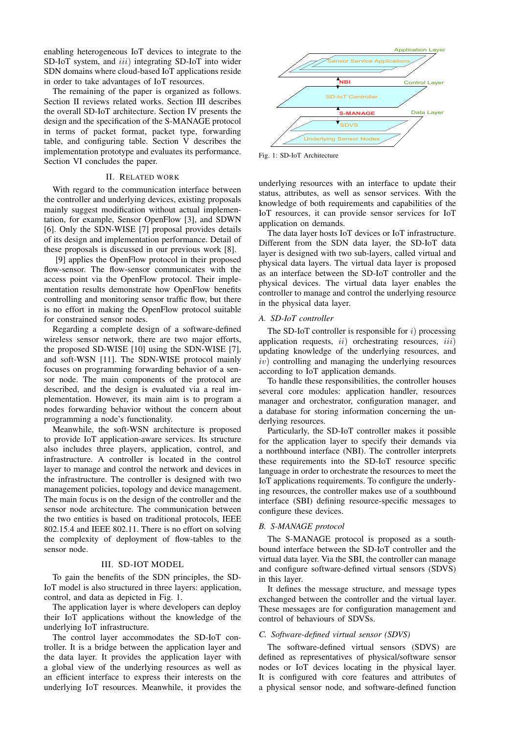enabling heterogeneous IoT devices to integrate to the SD-IoT system, and  $iii)$  integrating SD-IoT into wider SDN domains where cloud-based IoT applications reside in order to take advantages of IoT resources.

The remaining of the paper is organized as follows. Section II reviews related works. Section III describes the overall SD-IoT architecture. Section IV presents the design and the specification of the S-MANAGE protocol in terms of packet format, packet type, forwarding table, and configuring table. Section V describes the implementation prototype and evaluates its performance. Section VI concludes the paper.

## II. RELATED WORK

With regard to the communication interface between the controller and underlying devices, existing proposals mainly suggest modification without actual implementation, for example, Sensor OpenFlow [3], and SDWN [6]. Only the SDN-WISE [7] proposal provides details of its design and implementation performance. Detail of these proposals is discussed in our previous work [8].

[9] applies the OpenFlow protocol in their proposed flow-sensor. The flow-sensor communicates with the access point via the OpenFlow protocol. Their implementation results demonstrate how OpenFlow benefits controlling and monitoring sensor traffic flow, but there is no effort in making the OpenFlow protocol suitable for constrained sensor nodes.

Regarding a complete design of a software-defined wireless sensor network, there are two major efforts, the proposed SD-WISE [10] using the SDN-WISE [7], and soft-WSN [11]. The SDN-WISE protocol mainly focuses on programming forwarding behavior of a sensor node. The main components of the protocol are described, and the design is evaluated via a real implementation. However, its main aim is to program a nodes forwarding behavior without the concern about programming a node's functionality.

Meanwhile, the soft-WSN architecture is proposed to provide IoT application-aware services. Its structure also includes three players, application, control, and infrastructure. A controller is located in the control layer to manage and control the network and devices in the infrastructure. The controller is designed with two management policies, topology and device management. The main focus is on the design of the controller and the sensor node architecture. The communication between the two entities is based on traditional protocols, IEEE 802.15.4 and IEEE 802.11. There is no effort on solving the complexity of deployment of flow-tables to the sensor node.

#### III. SD-IOT MODEL

To gain the benefits of the SDN principles, the SD-IoT model is also structured in three layers: application, control, and data as depicted in Fig. 1.

The application layer is where developers can deploy their IoT applications without the knowledge of the underlying IoT infrastructure.

The control layer accommodates the SD-IoT controller. It is a bridge between the application layer and the data layer. It provides the application layer with a global view of the underlying resources as well as an efficient interface to express their interests on the underlying IoT resources. Meanwhile, it provides the



Fig. 1: SD-IoT Architecture

underlying resources with an interface to update their status, attributes, as well as sensor services. With the knowledge of both requirements and capabilities of the IoT resources, it can provide sensor services for IoT application on demands.

The data layer hosts IoT devices or IoT infrastructure. Different from the SDN data layer, the SD-IoT data layer is designed with two sub-layers, called virtual and physical data layers. The virtual data layer is proposed as an interface between the SD-IoT controller and the physical devices. The virtual data layer enables the controller to manage and control the underlying resource in the physical data layer.

## *A. SD-IoT controller*

The SD-IoT controller is responsible for  $i$ ) processing application requests,  $ii)$  orchestrating resources,  $iii)$ updating knowledge of the underlying resources, and  $iv)$  controlling and managing the underlying resources according to IoT application demands.

To handle these responsibilities, the controller houses several core modules: application handler, resources manager and orchestrator, configuration manager, and a database for storing information concerning the underlying resources.

Particularly, the SD-IoT controller makes it possible for the application layer to specify their demands via a northbound interface (NBI). The controller interprets these requirements into the SD-IoT resource specific language in order to orchestrate the resources to meet the IoT applications requirements. To configure the underlying resources, the controller makes use of a southbound interface (SBI) defining resource-specific messages to configure these devices.

## *B. S-MANAGE protocol*

The S-MANAGE protocol is proposed as a southbound interface between the SD-IoT controller and the virtual data layer. Via the SBI, the controller can manage and configure software-defined virtual sensors (SDVS) in this layer.

It defines the message structure, and message types exchanged between the controller and the virtual layer. These messages are for configuration management and control of behaviours of SDVSs.

## *C. Software-defined virtual sensor (SDVS)*

The software-defined virtual sensors (SDVS) are defined as representatives of physical/software sensor nodes or IoT devices locating in the physical layer. It is configured with core features and attributes of a physical sensor node, and software-defined function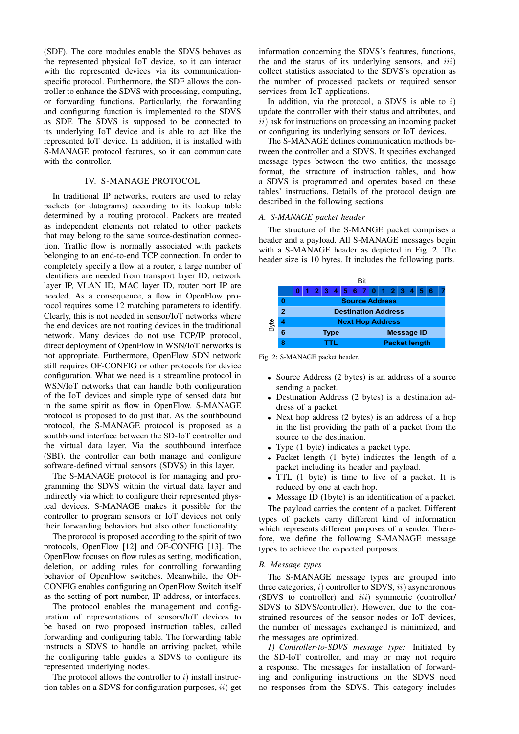(SDF). The core modules enable the SDVS behaves as the represented physical IoT device, so it can interact with the represented devices via its communicationspecific protocol. Furthermore, the SDF allows the controller to enhance the SDVS with processing, computing, or forwarding functions. Particularly, the forwarding and configuring function is implemented to the SDVS as SDF. The SDVS is supposed to be connected to its underlying IoT device and is able to act like the represented IoT device. In addition, it is installed with S-MANAGE protocol features, so it can communicate with the controller.

## IV. S-MANAGE PROTOCOL

In traditional IP networks, routers are used to relay packets (or datagrams) according to its lookup table determined by a routing protocol. Packets are treated as independent elements not related to other packets that may belong to the same source-destination connection. Traffic flow is normally associated with packets belonging to an end-to-end TCP connection. In order to completely specify a flow at a router, a large number of identifiers are needed from transport layer ID, network layer IP, VLAN ID, MAC layer ID, router port IP are needed. As a consequence, a flow in OpenFlow protocol requires some 12 matching parameters to identify. Clearly, this is not needed in sensor/IoT networks where the end devices are not routing devices in the traditional network. Many devices do not use TCP/IP protocol, direct deployment of OpenFlow in WSN/IoT networks is not appropriate. Furthermore, OpenFlow SDN network still requires OF-CONFIG or other protocols for device configuration. What we need is a streamline protocol in WSN/IoT networks that can handle both configuration of the IoT devices and simple type of sensed data but in the same spirit as flow in OpenFlow. S-MANAGE protocol is proposed to do just that. As the southbound protocol, the S-MANAGE protocol is proposed as a southbound interface between the SD-IoT controller and the virtual data layer. Via the southbound interface (SBI), the controller can both manage and configure software-defined virtual sensors (SDVS) in this layer.

The S-MANAGE protocol is for managing and programming the SDVS within the virtual data layer and indirectly via which to configure their represented physical devices. S-MANAGE makes it possible for the controller to program sensors or IoT devices not only their forwarding behaviors but also other functionality.

The protocol is proposed according to the spirit of two protocols, OpenFlow [12] and OF-CONFIG [13]. The OpenFlow focuses on flow rules as setting, modification, deletion, or adding rules for controlling forwarding behavior of OpenFlow switches. Meanwhile, the OF-CONFIG enables configuring an OpenFlow Switch itself as the setting of port number, IP address, or interfaces.

The protocol enables the management and configuration of representations of sensors/IoT devices to be based on two proposed instruction tables, called forwarding and configuring table. The forwarding table instructs a SDVS to handle an arriving packet, while the configuring table guides a SDVS to configure its represented underlying nodes.

The protocol allows the controller to  $i$ ) install instruction tables on a SDVS for configuration purposes,  $ii)$  get

information concerning the SDVS's features, functions, the and the status of its underlying sensors, and  $iii$ ) collect statistics associated to the SDVS's operation as the number of processed packets or required sensor services from IoT applications.

In addition, via the protocol, a SDVS is able to  $i$ ) update the controller with their status and attributes, and  $ii)$  ask for instructions on processing an incoming packet or configuring its underlying sensors or IoT devices.

The S-MANAGE defines communication methods between the controller and a SDVS. It specifies exchanged message types between the two entities, the message format, the structure of instruction tables, and how a SDVS is programmed and operates based on these tables' instructions. Details of the protocol design are described in the following sections.

## *A. S-MANAGE packet header*

The structure of the S-MANGE packet comprises a header and a payload. All S-MANAGE messages begin with a S-MANAGE header as depicted in Fig. 2. The header size is 10 bytes. It includes the following parts.



Fig. 2: S-MANAGE packet header.

- Source Address (2 bytes) is an address of a source sending a packet.
- Destination Address (2 bytes) is a destination address of a packet.
- Next hop address (2 bytes) is an address of a hop in the list providing the path of a packet from the source to the destination.
- Type  $(1 \text{ byte})$  indicates a packet type.
- Packet length (1 byte) indicates the length of a packet including its header and payload.
- TTL (1 byte) is time to live of a packet. It is reduced by one at each hop.
- Message ID (1byte) is an identification of a packet.

The payload carries the content of a packet. Different types of packets carry different kind of information which represents different purposes of a sender. Therefore, we define the following S-MANAGE message types to achieve the expected purposes.

## *B. Message types*

The S-MANAGE message types are grouped into three categories,  $i)$  controller to SDVS,  $ii)$  asynchronous (SDVS to controller) and *iii*) symmetric (controller/ SDVS to SDVS/controller). However, due to the constrained resources of the sensor nodes or IoT devices, the number of messages exchanged is minimized, and the messages are optimized.

*1) Controller-to-SDVS message type:* Initiated by the SD-IoT controller, and may or may not require a response. The messages for installation of forwarding and configuring instructions on the SDVS need no responses from the SDVS. This category includes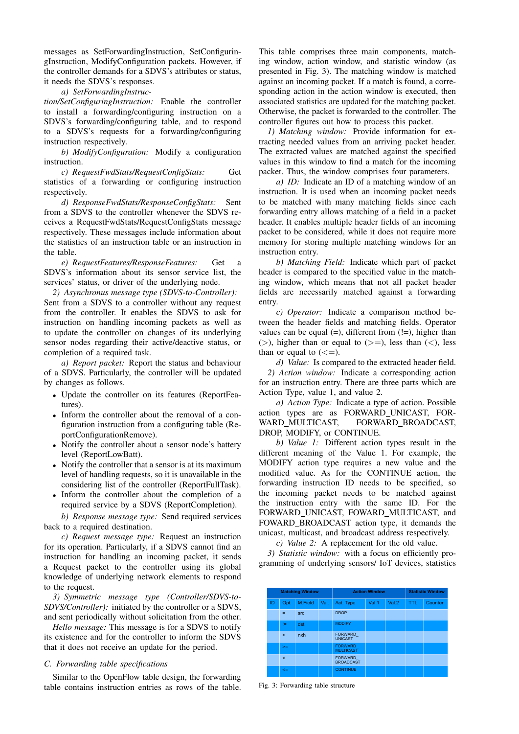messages as SetForwardingInstruction, SetConfiguringInstruction, ModifyConfiguration packets. However, if the controller demands for a SDVS's attributes or status, it needs the SDVS's responses.

## *a) SetForwardingInstruc-*

*tion/SetConfiguringInstruction:* Enable the controller to install a forwarding/configuring instruction on a SDVS's forwarding/configuring table, and to respond to a SDVS's requests for a forwarding/configuring instruction respectively.

*b) ModifyConfiguration:* Modify a configuration instruction.

*c) RequestFwdStats/RequestConfigStats:* Get statistics of a forwarding or configuring instruction respectively.

*d) ResponseFwdStats/ResponseConfigStats:* Sent from a SDVS to the controller whenever the SDVS receives a RequestFwdStats/RequestConfigStats message respectively. These messages include information about the statistics of an instruction table or an instruction in the table.

*e) RequestFeatures/ResponseFeatures:* Get a SDVS's information about its sensor service list, the services' status, or driver of the underlying node.

*2) Asynchronus message type (SDVS-to-Controller):* Sent from a SDVS to a controller without any request from the controller. It enables the SDVS to ask for instruction on handling incoming packets as well as to update the controller on changes of its underlying sensor nodes regarding their active/deactive status, or completion of a required task.

*a) Report packet:* Report the status and behaviour of a SDVS. Particularly, the controller will be updated by changes as follows.

- Update the controller on its features (ReportFeatures).
- Inform the controller about the removal of a configuration instruction from a configuring table (ReportConfigurationRemove).
- Notify the controller about a sensor node's battery level (ReportLowBatt).
- Notify the controller that a sensor is at its maximum level of handling requests, so it is unavailable in the considering list of the controller (ReportFullTask).
- Inform the controller about the completion of a required service by a SDVS (ReportCompletion).

*b) Response message type:* Send required services back to a required destination.

*c) Request message type:* Request an instruction for its operation. Particularly, if a SDVS cannot find an instruction for handling an incoming packet, it sends a Request packet to the controller using its global knowledge of underlying network elements to respond to the request.

*3) Symmetric message type (Controller/SDVS-to-SDVS/Controller):* initiated by the controller or a SDVS, and sent periodically without solicitation from the other.

*Hello message:* This message is for a SDVS to notify its existence and for the controller to inform the SDVS that it does not receive an update for the period.

## *C. Forwarding table specifications*

Similar to the OpenFlow table design, the forwarding table contains instruction entries as rows of the table.

This table comprises three main components, matching window, action window, and statistic window (as presented in Fig. 3). The matching window is matched against an incoming packet. If a match is found, a corresponding action in the action window is executed, then associated statistics are updated for the matching packet. Otherwise, the packet is forwarded to the controller. The controller figures out how to process this packet.

*1) Matching window:* Provide information for extracting needed values from an arriving packet header. The extracted values are matched against the specified values in this window to find a match for the incoming packet. Thus, the window comprises four parameters.

*a) ID:* Indicate an ID of a matching window of an instruction. It is used when an incoming packet needs to be matched with many matching fields since each forwarding entry allows matching of a field in a packet header. It enables multiple header fields of an incoming packet to be considered, while it does not require more memory for storing multiple matching windows for an instruction entry.

*b) Matching Field:* Indicate which part of packet header is compared to the specified value in the matching window, which means that not all packet header fields are necessarily matched against a forwarding entry.

*c) Operator:* Indicate a comparison method between the header fields and matching fields. Operator values can be equal  $(=)$ , different from  $(!=)$ , higher than ( $>$ ), higher than or equal to ( $>$ =), less than ( $<$ ), less than or equal to  $(<=)$ .

*d) Value:* Is compared to the extracted header field. *2) Action window:* Indicate a corresponding action for an instruction entry. There are three parts which are Action Type, value 1, and value 2.

*a) Action Type:* Indicate a type of action. Possible action types are as FORWARD UNICAST, FOR-WARD MULTICAST, FORWARD BROADCAST, DROP, MODIFY, or CONTINUE.

*b) Value 1:* Different action types result in the different meaning of the Value 1. For example, the MODIFY action type requires a new value and the modified value. As for the CONTINUE action, the forwarding instruction ID needs to be specified, so the incoming packet needs to be matched against the instruction entry with the same ID. For the FORWARD UNICAST, FOWARD MULTICAST, and FOWARD BROADCAST action type, it demands the unicast, multicast, and broadcast address respectively.

*c) Value 2:* A replacement for the old value.

*3) Statistic window:* with a focus on efficiently programming of underlying sensors/ IoT devices, statistics

|    |        | <b>Matching Window</b> |      |                                    | <b>Action Window</b> |       |            | <b>Statistic Window</b> |
|----|--------|------------------------|------|------------------------------------|----------------------|-------|------------|-------------------------|
| ID | Opt.   | M.Field                | Val. | Act. Type                          | Val.1                | Val.2 | <b>TTL</b> | Counter                 |
|    | Ξ.     | <b>SFC</b>             |      | <b>DROP</b>                        |                      |       |            |                         |
|    | l=     | dst                    |      | <b>MODIFY</b>                      |                      |       |            |                         |
|    | $\geq$ | nxh                    |      | <b>FORWARD</b><br><b>UNICAST</b>   |                      |       |            |                         |
|    | $>=$   |                        |      | <b>FORWARD</b><br><b>MULTICAST</b> |                      |       |            |                         |
|    | k      |                        |      | <b>FORWARD</b><br><b>BROADCAST</b> |                      |       |            |                         |
|    | $\leq$ |                        |      | <b>CONTINUE</b>                    |                      |       |            |                         |

Fig. 3: Forwarding table structure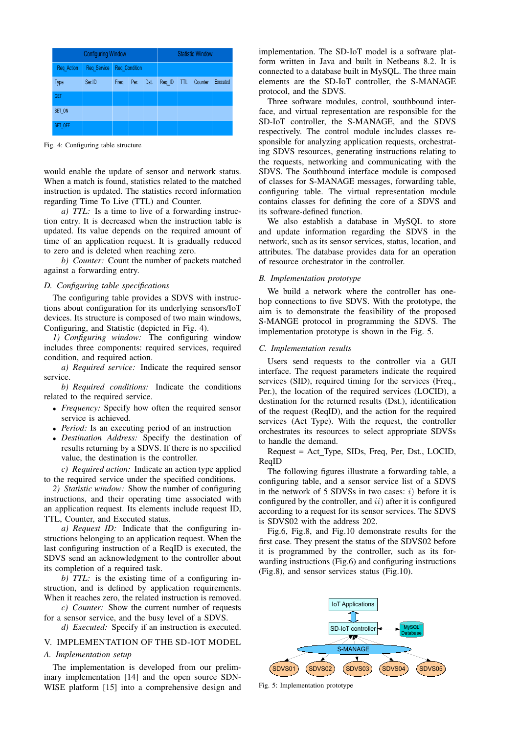|             | <b>Configuring Window</b> |       |                      |      |        |            | <b>Statistic Window</b> |          |
|-------------|---------------------------|-------|----------------------|------|--------|------------|-------------------------|----------|
| Req Action  | Req Service               |       | <b>Req Condition</b> |      |        |            |                         |          |
| <b>Type</b> | Ser.ID                    | Freq. | Per.                 | Dst. | Req ID | <b>TTL</b> | Counter                 | Executed |
| <b>GET</b>  |                           |       |                      |      |        |            |                         |          |
| SET ON      |                           |       |                      |      |        |            |                         |          |
| SET OFF     |                           |       |                      |      |        |            |                         |          |

Fig. 4: Configuring table structure

would enable the update of sensor and network status. When a match is found, statistics related to the matched instruction is updated. The statistics record information regarding Time To Live (TTL) and Counter.

*a) TTL:* Is a time to live of a forwarding instruction entry. It is decreased when the instruction table is updated. Its value depends on the required amount of time of an application request. It is gradually reduced to zero and is deleted when reaching zero.

*b) Counter:* Count the number of packets matched against a forwarding entry.

## *D. Configuring table specifications*

The configuring table provides a SDVS with instructions about configuration for its underlying sensors/IoT devices. Its structure is composed of two main windows, Configuring, and Statistic (depicted in Fig. 4).

*1) Configuring window:* The configuring window includes three components: required services, required condition, and required action.

*a) Required service:* Indicate the required sensor service.

*b) Required conditions:* Indicate the conditions related to the required service.

- *Frequency:* Specify how often the required sensor service is achieved.
- *Period:* Is an executing period of an instruction
- *Destination Address:* Specify the destination of results returning by a SDVS. If there is no specified value, the destination is the controller.

*c) Required action:* Indicate an action type applied to the required service under the specified conditions.

*2) Statistic window:* Show the number of configuring instructions, and their operating time associated with an application request. Its elements include request ID, TTL, Counter, and Executed status.

*a) Request ID:* Indicate that the configuring instructions belonging to an application request. When the last configuring instruction of a ReqID is executed, the SDVS send an acknowledgment to the controller about its completion of a required task.

*b) TTL*: is the existing time of a configuring instruction, and is defined by application requirements. When it reaches zero, the related instruction is removed.

*c) Counter:* Show the current number of requests for a sensor service, and the busy level of a SDVS.

*d) Executed:* Specify if an instruction is executed.

## V. IMPLEMENTATION OF THE SD-IOT MODEL

### *A. Implementation setup*

The implementation is developed from our preliminary implementation [14] and the open source SDN-WISE platform [15] into a comprehensive design and

implementation. The SD-IoT model is a software platform written in Java and built in Netbeans 8.2. It is connected to a database built in MySQL. The three main elements are the SD-IoT controller, the S-MANAGE protocol, and the SDVS.

Three software modules, control, southbound interface, and virtual representation are responsible for the SD-IoT controller, the S-MANAGE, and the SDVS respectively. The control module includes classes responsible for analyzing application requests, orchestrating SDVS resources, generating instructions relating to the requests, networking and communicating with the SDVS. The Southbound interface module is composed of classes for S-MANAGE messages, forwarding table, configuring table. The virtual representation module contains classes for defining the core of a SDVS and its software-defined function.

We also establish a database in MySQL to store and update information regarding the SDVS in the network, such as its sensor services, status, location, and attributes. The database provides data for an operation of resource orchestrator in the controller.

## *B. Implementation prototype*

We build a network where the controller has onehop connections to five SDVS. With the prototype, the aim is to demonstrate the feasibility of the proposed S-MANGE protocol in programming the SDVS. The implementation prototype is shown in the Fig. 5.

## *C. Implementation results*

Users send requests to the controller via a GUI interface. The request parameters indicate the required services (SID), required timing for the services (Freq., Per.), the location of the required services (LOCID), a destination for the returned results (Dst.), identification of the request (ReqID), and the action for the required services (Act\_Type). With the request, the controller orchestrates its resources to select appropriate SDVSs to handle the demand.

Request = Act\_Type, SIDs, Freq, Per, Dst., LOCID, ReqID

The following figures illustrate a forwarding table, a configuring table, and a sensor service list of a SDVS in the network of 5 SDVSs in two cases:  $i$ ) before it is configured by the controller, and  $ii)$  after it is configured according to a request for its sensor services. The SDVS is SDVS02 with the address 202.

Fig.6, Fig.8, and Fig.10 demonstrate results for the first case. They present the status of the SDVS02 before it is programmed by the controller, such as its forwarding instructions (Fig.6) and configuring instructions (Fig.8), and sensor services status (Fig.10).



Fig. 5: Implementation prototype